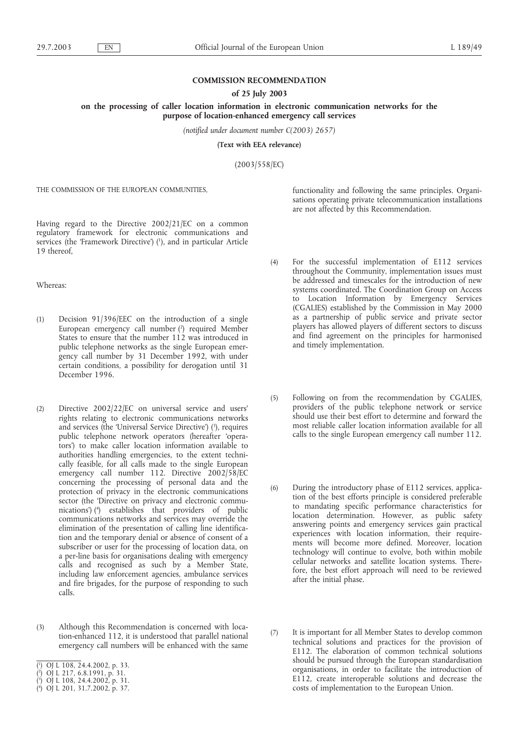## **COMMISSION RECOMMENDATION**

## **of 25 July 2003**

**on the processing of caller location information in electronic communication networks for the purpose of location-enhanced emergency call services**

*(notified under document number C(2003) 2657)*

**(Text with EEA relevance)**

(2003/558/EC)

THE COMMISSION OF THE EUROPEAN COMMUNITIES,

Having regard to the Directive 2002/21/EC on a common regulatory framework for electronic communications and services (the 'Framework Directive') (1), and in particular Article 19 thereof,

Whereas:

- (1) Decision 91/396/EEC on the introduction of a single European emergency call number (2 ) required Member States to ensure that the number 112 was introduced in public telephone networks as the single European emergency call number by 31 December 1992, with under certain conditions, a possibility for derogation until 31 December 1996.
- (2) Directive 2002/22/EC on universal service and users' rights relating to electronic communications networks and services (the 'Universal Service Directive') (3), requires public telephone network operators (hereafter 'operators') to make caller location information available to authorities handling emergencies, to the extent technically feasible, for all calls made to the single European emergency call number 112. Directive 2002/58/EC concerning the processing of personal data and the protection of privacy in the electronic communications sector (the 'Directive on privacy and electronic communications') (4 ) establishes that providers of public communications networks and services may override the elimination of the presentation of calling line identification and the temporary denial or absence of consent of a subscriber or user for the processing of location data, on a per-line basis for organisations dealing with emergency calls and recognised as such by a Member State, including law enforcement agencies, ambulance services and fire brigades, for the purpose of responding to such calls.
- (3) Although this Recommendation is concerned with location-enhanced 112, it is understood that parallel national emergency call numbers will be enhanced with the same
- ( 1 ) OJ L 108, 24.4.2002, p. 33.
- ( 2 ) OJ L 217, 6.8.1991, p. 31.
- ( 3 ) OJ L 108, 24.4.2002, p. 31.
- ( 4 ) OJ L 201, 31.7.2002, p. 37.

functionality and following the same principles. Organisations operating private telecommunication installations are not affected by this Recommendation.

- (4) For the successful implementation of E112 services throughout the Community, implementation issues must be addressed and timescales for the introduction of new systems coordinated. The Coordination Group on Access to Location Information by Emergency Services (CGALIES) established by the Commission in May 2000 as a partnership of public service and private sector players has allowed players of different sectors to discuss and find agreement on the principles for harmonised and timely implementation.
- (5) Following on from the recommendation by CGALIES, providers of the public telephone network or service should use their best effort to determine and forward the most reliable caller location information available for all calls to the single European emergency call number 112.
- (6) During the introductory phase of E112 services, application of the best efforts principle is considered preferable to mandating specific performance characteristics for location determination. However, as public safety answering points and emergency services gain practical experiences with location information, their requirements will become more defined. Moreover, location technology will continue to evolve, both within mobile cellular networks and satellite location systems. Therefore, the best effort approach will need to be reviewed after the initial phase.
- (7) It is important for all Member States to develop common technical solutions and practices for the provision of E112. The elaboration of common technical solutions should be pursued through the European standardisation organisations, in order to facilitate the introduction of E112, create interoperable solutions and decrease the costs of implementation to the European Union.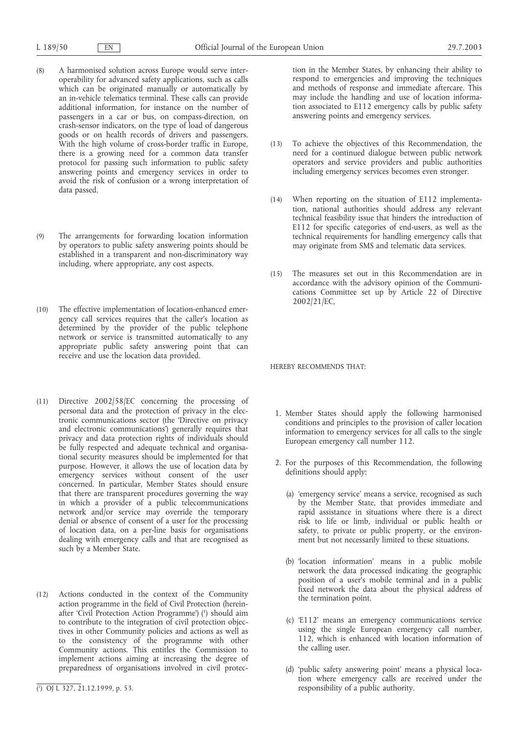- (8) A harmonised solution across Europe would serve interoperability for advanced safety applications, such as calls which can be originated manually or automatically by an in-vehicle telematics terminal. These calls can provide additional information, for instance on the number of passengers in a car or bus, on compass-direction, on crash-sensor indicators, on the type of load of dangerous goods or on health records of drivers and passengers. With the high volume of cross-border traffic in Europe, there is a growing need for a common data transfer protocol for passing such information to public safety answering points and emergency services in order to avoid the risk of confusion or a wrong interpretation of data passed.
- (9) The arrangements for forwarding location information by operators to public safety answering points should be established in a transparent and non-discriminatory way including, where appropriate, any cost aspects.
- (10) The effective implementation of location-enhanced emergency call services requires that the caller's location as determined by the provider of the public telephone network or service is transmitted automatically to any appropriate public safety answering point that can receive and use the location data provided.
- (11) Directive 2002/58/EC concerning the processing of personal data and the protection of privacy in the electronic communications sector (the 'Directive on privacy and electronic communications') generally requires that privacy and data protection rights of individuals should be fully respected and adequate technical and organisational security measures should be implemented for that purpose. However, it allows the use of location data by emergency services without consent of the user concerned. In particular, Member States should ensure that there are transparent procedures governing the way in which a provider of a public telecommunications network and/or service may override the temporary denial or absence of consent of a user for the processing of location data, on a per-line basis for organisations dealing with emergency calls and that are recognised as such by a Member State.
- (12) Actions conducted in the context of the Community action programme in the field of Civil Protection (hereinafter 'Civil Protection Action Programme') (1) should aim to contribute to the integration of civil protection objectives in other Community policies and actions as well as to the consistency of the programme with other Community actions. This entitles the Commission to implement actions aiming at increasing the degree of preparedness of organisations involved in civil protec-

tion in the Member States, by enhancing their ability to respond to emergencies and improving the techniques and methods of response and immediate aftercare. This may include the handling and use of location information associated to E112 emergency calls by public safety answering points and emergency services.

- (13) To achieve the objectives of this Recommendation, the need for a continued dialogue between public network operators and service providers and public authorities including emergency services becomes even stronger.
- (14) When reporting on the situation of E112 implementation, national authorities should address any relevant technical feasibility issue that hinders the introduction of E112 for specific categories of end-users, as well as the technical requirements for handling emergency calls that may originate from SMS and telematic data services.
- (15) The measures set out in this Recommendation are in accordance with the advisory opinion of the Communications Committee set up by Article 22 of Directive 2002/21/EC,

HEREBY RECOMMENDS THAT:

- 1. Member States should apply the following harmonised conditions and principles to the provision of caller location information to emergency services for all calls to the single European emergency call number 112.
- 2. For the purposes of this Recommendation, the following definitions should apply:
	- (a) 'emergency service' means a service, recognised as such by the Member State, that provides immediate and rapid assistance in situations where there is a direct risk to life or limb, individual or public health or safety, to private or public property, or the environment but not necessarily limited to these situations.
	- (b) 'location information' means in a public mobile network the data processed indicating the geographic position of a user's mobile terminal and in a public fixed network the data about the physical address of the termination point.
	- (c) 'E112' means an emergency communications service using the single European emergency call number, 112, which is enhanced with location information of the calling user.
	- (d) 'public safety answering point' means a physical location where emergency calls are received under the responsibility of a public authority.